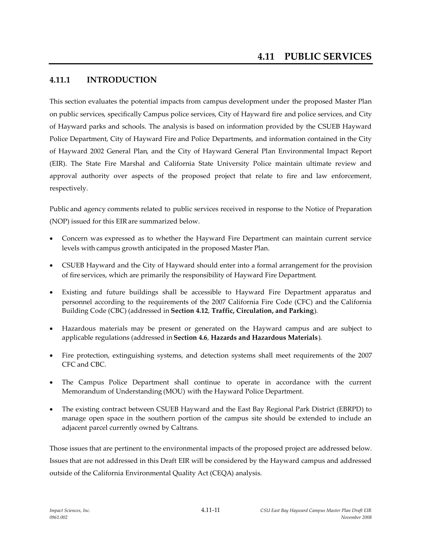## **4.11.1 INTRODUCTION**

This section evaluates the potential impacts from campus development under the proposed Master Plan on public services, specifically Campus police services, City of Hayward fire and police services, and City of Hayward parks and schools. The analysis is based on information provided by the CSUEB Hayward Police Department, City of Hayward Fire and Police Departments, and information contained in the City of Hayward 2002 General Plan, and the City of Hayward General Plan Environmental Impact Report (EIR). The State Fire Marshal and California State University Police maintain ultimate review and approval authority over aspects of the proposed project that relate to fire and law enforcement, respectively.

Public and agency comments related to public services received in response to the Notice of Preparation (NOP) issued for this EIRare summarized below.

- Concern was expressed as to whether the Hayward Fire Department can maintain current service levels with campus growth anticipated in the proposed Master Plan.
- CSUEB Hayward and the City of Hayward should enter into a formal arrangement for the provision of fire services, which are primarily the responsibility of Hayward Fire Department.
- Existing and future buildings shall be accessible to Hayward Fire Department apparatus and personnel according to the requirements of the 2007 California Fire Code (CFC) and the California Building Code (CBC) (addressed in **Section 4.12**, **Traffic, Circulation, and Parking**).
- Hazardous materials may be present or generated on the Hayward campus and are subject to applicable regulations (addressed in **Section 4.6**, **Hazards and Hazardous Materials**).
- Fire protection, extinguishing systems, and detection systems shall meet requirements of the 2007 CFC and CBC.
- The Campus Police Department shall continue to operate in accordance with the current Memorandum of Understanding (MOU) with the Hayward Police Department.
- The existing contract between CSUEB Hayward and the East Bay Regional Park District (EBRPD) to manage open space in the southern portion of the campus site should be extended to include an adjacent parcel currently owned by Caltrans.

Those issues that are pertinent to the environmental impacts of the proposed project are addressed below. Issues that are not addressed in this Draft EIR will be considered by the Hayward campus and addressed outside of the California Environmental Quality Act (CEQA) analysis.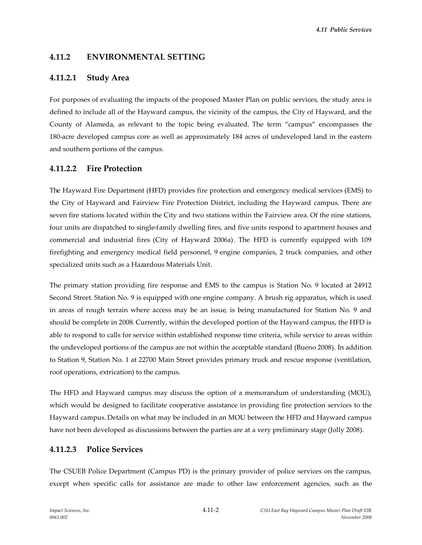## **4.11.2 ENVIRONMENTAL SETTING**

## **4.11.2.1 Study Area**

For purposes of evaluating the impacts of the proposed Master Plan on public services, the study area is defined to include all of the Hayward campus, the vicinity of the campus, the City of Hayward, and the County of Alameda, as relevant to the topic being evaluated. The term "campus" encompasses the 180-acre developed campus core as well as approximately 184 acres of undeveloped land in the eastern and southern portions of the campus.

## **4.11.2.2 Fire Protection**

The Hayward Fire Department (HFD) provides fire protection and emergency medical services (EMS) to the City of Hayward and Fairview Fire Protection District, including the Hayward campus. There are seven fire stations located within the City and two stations within the Fairview area. Of the nine stations, four units are dispatched to single-family dwelling fires, and five units respond to apartment houses and commercial and industrial fires (City of Hayward 2006a). The HFD is currently equipped with 109 firefighting and emergency medical field personnel, 9 engine companies, 2 truck companies, and other specialized units such as a Hazardous Materials Unit.

The primary station providing fire response and EMS to the campus is Station No. 9 located at 24912 Second Street. Station No. 9 is equipped with one engine company. A brush rig apparatus, which is used in areas of rough terrain where access may be an issue, is being manufactured for Station No. 9 and should be complete in 2008. Currently, within the developed portion of the Hayward campus, the HFD is able to respond to calls for service within established response time criteria, while service to areas within the undeveloped portions of the campus are not within the acceptable standard (Bueno 2008). In addition to Station 9, Station No. 1 at 22700 Main Street provides primary truck and rescue response (ventilation, roof operations, extrication) to the campus.

The HFD and Hayward campus may discuss the option of a memorandum of understanding (MOU), which would be designed to facilitate cooperative assistance in providing fire protection services to the Hayward campus. Details on what may be included in an MOU between the HFD and Hayward campus have not been developed as discussions between the parties are at a very preliminary stage (Jolly 2008).

## **4.11.2.3 Police Services**

The CSUEB Police Department (Campus PD) is the primary provider of police services on the campus, except when specific calls for assistance are made to other law enforcement agencies, such as the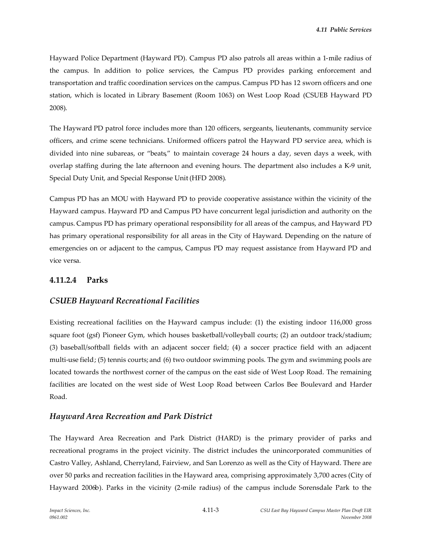Hayward Police Department (Hayward PD). Campus PD also patrols all areas within a 1-mile radius of the campus. In addition to police services, the Campus PD provides parking enforcement and transportation and traffic coordination services on the campus. Campus PD has 12 sworn officers and one station, which is located in Library Basement (Room 1063) on West Loop Road (CSUEB Hayward PD 2008).

The Hayward PD patrol force includes more than 120 officers, sergeants, lieutenants, community service officers, and crime scene technicians. Uniformed officers patrol the Hayward PD service area, which is divided into nine subareas, or "beats," to maintain coverage 24 hours a day, seven days a week, with overlap staffing during the late afternoon and evening hours. The department also includes a K-9 unit, Special Duty Unit, and Special Response Unit (HFD 2008).

Campus PD has an MOU with Hayward PD to provide cooperative assistance within the vicinity of the Hayward campus. Hayward PD and Campus PD have concurrent legal jurisdiction and authority on the campus. Campus PD has primary operational responsibility for all areas of the campus, and Hayward PD has primary operational responsibility for all areas in the City of Hayward. Depending on the nature of emergencies on or adjacent to the campus, Campus PD may request assistance from Hayward PD and vice versa.

## **4.11.2.4 Parks**

## *CSUEB Hayward Recreational Facilities*

Existing recreational facilities on the Hayward campus include: (1) the existing indoor 116,000 gross square foot (gsf) Pioneer Gym, which houses basketball/volleyball courts; (2) an outdoor track/stadium; (3) baseball/softball fields with an adjacent soccer field; (4) a soccer practice field with an adjacent multi-use field; (5) tennis courts; and (6) two outdoor swimming pools. The gym and swimming pools are located towards the northwest corner of the campus on the east side of West Loop Road. The remaining facilities are located on the west side of West Loop Road between Carlos Bee Boulevard and Harder Road.

## *Hayward Area Recreation and Park District*

The Hayward Area Recreation and Park District (HARD) is the primary provider of parks and recreational programs in the project vicinity. The district includes the unincorporated communities of Castro Valley, Ashland, Cherryland, Fairview, and San Lorenzo as well as the City of Hayward. There are over 50 parks and recreation facilities in the Hayward area, comprising approximately 3,700 acres (City of Hayward 2006b). Parks in the vicinity (2-mile radius) of the campus include Sorensdale Park to the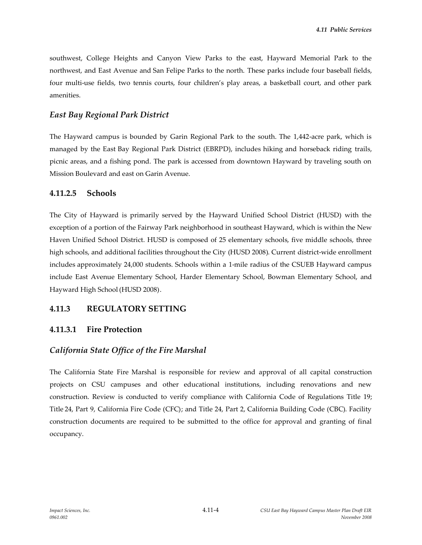southwest, College Heights and Canyon View Parks to the east, Hayward Memorial Park to the northwest, and East Avenue and San Felipe Parks to the north. These parks include four baseball fields, four multi-use fields, two tennis courts, four children's play areas, a basketball court, and other park amenities.

## *East Bay Regional Park District*

The Hayward campus is bounded by Garin Regional Park to the south. The 1,442-acre park, which is managed by the East Bay Regional Park District (EBRPD), includes hiking and horseback riding trails, picnic areas, and a fishing pond. The park is accessed from downtown Hayward by traveling south on Mission Boulevard and east on Garin Avenue.

#### **4.11.2.5 Schools**

The City of Hayward is primarily served by the Hayward Unified School District (HUSD) with the exception of a portion of the Fairway Park neighborhood in southeast Hayward, which is within the New Haven Unified School District. HUSD is composed of 25 elementary schools, five middle schools, three high schools, and additional facilities throughout the City (HUSD 2008). Current district-wide enrollment includes approximately 24,000 students. Schools within a 1-mile radius of the CSUEB Hayward campus include East Avenue Elementary School, Harder Elementary School, Bowman Elementary School, and Hayward High School (HUSD 2008).

## **4.11.3 REGULATORY SETTING**

## **4.11.3.1 Fire Protection**

## *California State Office of the Fire Marshal*

The California State Fire Marshal is responsible for review and approval of all capital construction projects on CSU campuses and other educational institutions, including renovations and new construction. Review is conducted to verify compliance with California Code of Regulations Title 19; Title 24, Part 9, California Fire Code (CFC); and Title 24, Part 2, California Building Code (CBC). Facility construction documents are required to be submitted to the office for approval and granting of final occupancy.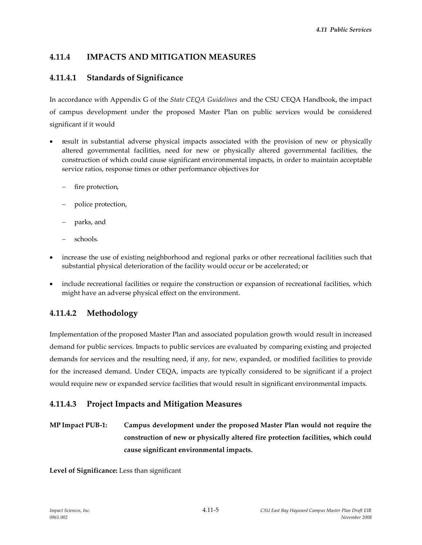## **4.11.4 IMPACTS AND MITIGATION MEASURES**

## **4.11.4.1 Standards of Significance**

In accordance with Appendix G of the *State CEQA Guidelines* and the CSU CEQA Handbook, the impact of campus development under the proposed Master Plan on public services would be considered significant if it would

- result in substantial adverse physical impacts associated with the provision of new or physically altered governmental facilities, need for new or physically altered governmental facilities, the construction of which could cause significant environmental impacts, in order to maintain acceptable service ratios, response times or other performance objectives for
	- fire protection,
	- police protection,
	- parks, and
	- schools.
- increase the use of existing neighborhood and regional parks or other recreational facilities such that substantial physical deterioration of the facility would occur or be accelerated; or
- include recreational facilities or require the construction or expansion of recreational facilities, which might have an adverse physical effect on the environment.

## **4.11.4.2 Methodology**

Implementation ofthe proposed Master Plan and associated population growth would result in increased demand for public services. Impacts to public services are evaluated by comparing existing and projected demands for services and the resulting need, if any, for new, expanded, or modified facilities to provide for the increased demand. Under CEQA, impacts are typically considered to be significant if a project would require new or expanded service facilities that would result in significant environmental impacts.

## **4.11.4.3 Project Impacts and Mitigation Measures**

**MP Impact PUB-1: Campus development under the proposed Master Plan would not require the construction of new or physically altered fire protection facilities, which could cause significant environmental impacts.**

**Level of Significance:** Less than significant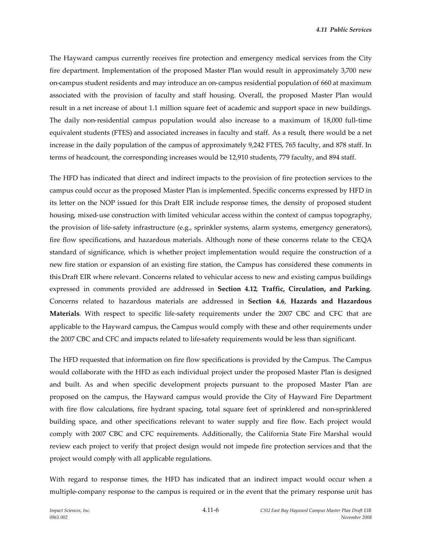The Hayward campus currently receives fire protection and emergency medical services from the City fire department. Implementation of the proposed Master Plan would result in approximately 3,700 new on-campus student residents and may introduce an on-campus residential population of 660 at maximum associated with the provision of faculty and staff housing. Overall, the proposed Master Plan would result in a net increase of about 1.1 million square feet of academic and support space in new buildings. The daily non-residential campus population would also increase to a maximum of 18,000 full-time equivalent students (FTES) and associated increases in faculty and staff. As a result, there would be a net increase in the daily population of the campus of approximately 9,242 FTES, 765 faculty, and 878 staff. In terms of headcount, the corresponding increases would be 12,910 students, 779 faculty, and 894 staff.

The HFD has indicated that direct and indirect impacts to the provision of fire protection services to the campus could occur as the proposed Master Plan is implemented. Specific concerns expressed by HFD in its letter on the NOP issued for this Draft EIR include response times, the density of proposed student housing, mixed-use construction with limited vehicular access within the context of campus topography, the provision of life-safety infrastructure (e.g., sprinkler systems, alarm systems, emergency generators), fire flow specifications, and hazardous materials. Although none of these concerns relate to the CEQA standard of significance, which is whether project implementation would require the construction of a new fire station or expansion of an existing fire station, the Campus has considered these comments in this Draft EIR where relevant. Concerns related to vehicular access to new and existing campus buildings expressed in comments provided are addressed in **Section 4.12**, **Traffic, Circulation, and Parking**. Concerns related to hazardous materials are addressed in **Section 4.6**, **Hazards and Hazardous Materials**. With respect to specific life-safety requirements under the 2007 CBC and CFC that are applicable to the Hayward campus, the Campus would comply with these and other requirements under the 2007 CBC and CFC and impacts related to life-safety requirements would be less than significant.

The HFD requested that information on fire flow specifications is provided by the Campus. The Campus would collaborate with the HFD as each individual project under the proposed Master Plan is designed and built. As and when specific development projects pursuant to the proposed Master Plan are proposed on the campus, the Hayward campus would provide the City of Hayward Fire Department with fire flow calculations, fire hydrant spacing, total square feet of sprinklered and non-sprinklered building space, and other specifications relevant to water supply and fire flow. Each project would comply with 2007 CBC and CFC requirements. Additionally, the California State Fire Marshal would review each project to verify that project design would not impede fire protection services and that the project would comply with all applicable regulations.

With regard to response times, the HFD has indicated that an indirect impact would occur when a multiple-company response to the campus is required or in the event that the primary response unit has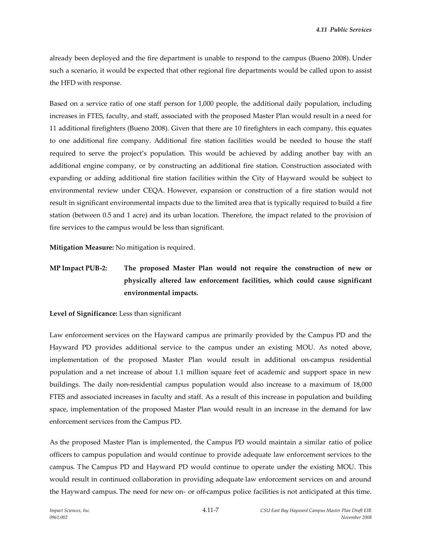already been deployed and the fire department is unable to respond to the campus (Bueno 2008). Under such a scenario, it would be expected that other regional fire departments would be called upon to assist the HFD with response.

Based on a service ratio of one staff person for 1,000 people, the additional daily population, including increases in FTES, faculty, and staff, associated with the proposed Master Plan would result in a need for 11 additional firefighters (Bueno 2008). Given that there are 10 firefighters in each company, this equates to one additional fire company. Additional fire station facilities would be needed to house the staff required to serve the project's population. This would be achieved by adding another bay with an additional engine company, or by constructing an additional fire station. Construction associated with expanding or adding additional fire station facilities within the City of Hayward would be subject to environmental review under CEQA. However, expansion or construction of a fire station would not result in significant environmental impacts due to the limited area that is typically required to build a fire station (between 0.5 and 1 acre) and its urban location. Therefore, the impact related to the provision of fire services to the campus would be less than significant.

**Mitigation Measure:** No mitigation is required.

# **MP Impact PUB-2: The proposed Master Plan would not require the construction of new or physically altered law enforcement facilities, which could cause significant environmental impacts.**

#### **Level of Significance:** Less than significant

Law enforcement services on the Hayward campus are primarily provided by the Campus PD and the Hayward PD provides additional service to the campus under an existing MOU. As noted above, implementation of the proposed Master Plan would result in additional on-campus residential population and a net increase of about 1.1 million square feet of academic and support space in new buildings. The daily non-residential campus population would also increase to a maximum of 18,000 FTES and associated increases in faculty and staff. As a result of this increase in population and building space, implementation of the proposed Master Plan would result in an increase in the demand for law enforcement services from the Campus PD.

As the proposed Master Plan is implemented, the Campus PD would maintain a similar ratio of police officers to campus population and would continue to provide adequate law enforcement services to the campus. The Campus PD and Hayward PD would continue to operate under the existing MOU. This would result in continued collaboration in providing adequate law enforcement services on and around the Hayward campus. The need for new on- or off-campus police facilities is not anticipated at this time.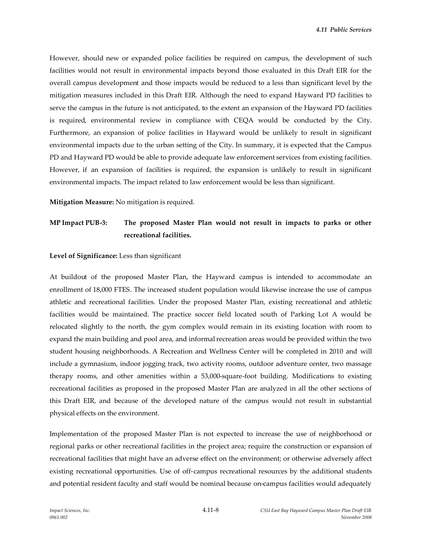However, should new or expanded police facilities be required on campus, the development of such facilities would not result in environmental impacts beyond those evaluated in this Draft EIR for the overall campus development and those impacts would be reduced to a less than significant level by the mitigation measures included in this Draft EIR. Although the need to expand Hayward PD facilities to serve the campus in the future is not anticipated, to the extent an expansion of the Hayward PD facilities is required, environmental review in compliance with CEQA would be conducted by the City. Furthermore, an expansion of police facilities in Hayward would be unlikely to result in significant environmental impacts due to the urban setting of the City. In summary, it is expected that the Campus PD and Hayward PD would be able to provide adequate law enforcement services from existing facilities. However, if an expansion of facilities is required, the expansion is unlikely to result in significant environmental impacts. The impact related to law enforcement would be less than significant.

**Mitigation Measure:** No mitigation is required.

## **MP Impact PUB-3: The proposed Master Plan would not result in impacts to parks or other recreational facilities.**

#### **Level of Significance:** Less than significant

At buildout of the proposed Master Plan, the Hayward campus is intended to accommodate an enrollment of 18,000 FTES. The increased student population would likewise increase the use of campus athletic and recreational facilities. Under the proposed Master Plan, existing recreational and athletic facilities would be maintained. The practice soccer field located south of Parking Lot A would be relocated slightly to the north, the gym complex would remain in its existing location with room to expand the main building and pool area, and informal recreation areas would be provided within the two student housing neighborhoods. A Recreation and Wellness Center will be completed in 2010 and will include a gymnasium, indoor jogging track, two activity rooms, outdoor adventure center, two massage therapy rooms, and other amenities within a 53,000-square-foot building. Modifications to existing recreational facilities as proposed in the proposed Master Plan are analyzed in all the other sections of this Draft EIR, and because of the developed nature of the campus would not result in substantial physical effects on the environment.

Implementation of the proposed Master Plan is not expected to increase the use of neighborhood or regional parks or other recreational facilities in the project area; require the construction or expansion of recreational facilities that might have an adverse effect on the environment; or otherwise adversely affect existing recreational opportunities. Use of off-campus recreational resources by the additional students and potential resident faculty and staff would be nominal because on-campus facilities would adequately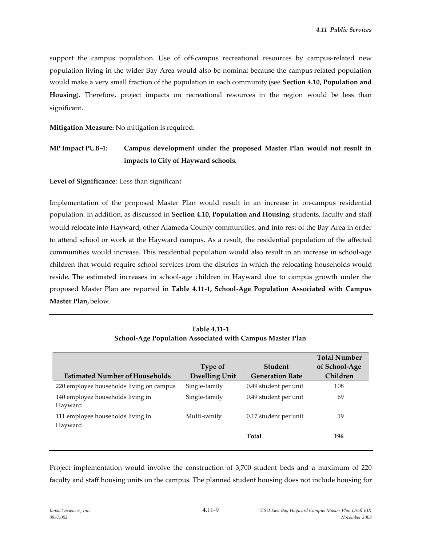support the campus population. Use of off-campus recreational resources by campus-related new population living in the wider Bay Area would also be nominal because the campus-related population would make a very small fraction of the population in each community (see **Section 4.10, Population and Housing**). Therefore, project impacts on recreational resources in the region would be less than significant.

**Mitigation Measure:** No mitigation is required.

## **MP Impact PUB-4: Campus development under the proposed Master Plan would not result in impacts to City of Hayward schools.**

**Level of Significance**: Less than significant

Implementation of the proposed Master Plan would result in an increase in on-campus residential population. In addition, as discussed in **Section 4.10, Population and Housing**, students, faculty and staff would relocate into Hayward, other Alameda County communities, and into rest of the Bay Area in order to attend school or work at the Hayward campus. As a result, the residential population of the affected communities would increase. This residential population would also result in an increase in school-age children that would require school services from the districts in which the relocating households would reside. The estimated increases in school-age children in Hayward due to campus growth under the proposed Master Plan are reported in **Table 4.11-1, School-Age Population Associated with Campus Master Plan,** below.

|                                              | Type of              | <b>Student</b>         | <b>Total Number</b><br>of School-Age |
|----------------------------------------------|----------------------|------------------------|--------------------------------------|
| <b>Estimated Number of Households</b>        | <b>Dwelling Unit</b> | <b>Generation Rate</b> | Children                             |
| 220 employee households living on campus     | Single-family        | 0.49 student per unit  | 108                                  |
| 140 employee households living in<br>Hayward | Single-family        | 0.49 student per unit  | 69                                   |
| 111 employee households living in<br>Hayward | Multi-family         | 0.17 student per unit  | 19                                   |
|                                              |                      | Total                  | 196                                  |

**Table 4.11-1 School-Age Population Associated with Campus Master Plan**

Project implementation would involve the construction of 3,700 student beds and a maximum of 220 faculty and staff housing units on the campus. The planned student housing does not include housing for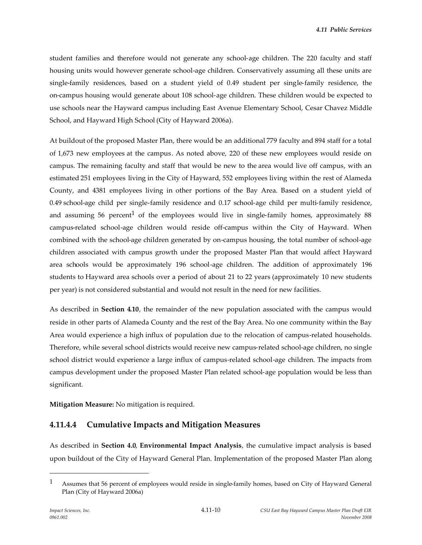student families and therefore would not generate any school-age children. The 220 faculty and staff housing units would however generate school-age children. Conservatively assuming all these units are single-family residences, based on a student yield of 0.49 student per single-family residence, the on-campus housing would generate about 108 school-age children. These children would be expected to use schools near the Hayward campus including East Avenue Elementary School, Cesar Chavez Middle School, and Hayward High School (City of Hayward 2006a).

At buildout of the proposed Master Plan, there would be an additional 779 faculty and 894 staff for a total of 1,673 new employees at the campus. As noted above, 220 of these new employees would reside on campus. The remaining faculty and staff that would be new to the area would live off campus, with an estimated 251 employees living in the City of Hayward, 552 employees living within the rest of Alameda County, and 4381 employees living in other portions of the Bay Area. Based on a student yield of 0.49 school-age child per single-family residence and 0.17 school-age child per multi-family residence, and assuming 56 percent<sup>1</sup> of the employees would live in single-family homes, approximately 88 campus-related school-age children would reside off-campus within the City of Hayward. When combined with the school-age children generated by on-campus housing, the total number of school-age children associated with campus growth under the proposed Master Plan that would affect Hayward area schools would be approximately 196 school-age children. The addition of approximately 196 students to Hayward area schools over a period of about 21 to 22 years (approximately 10 new students per year) is not considered substantial and would not result in the need for new facilities.

As described in **Section 4.10**, the remainder of the new population associated with the campus would reside in other parts of Alameda County and the rest of the Bay Area. No one community within the Bay Area would experience a high influx of population due to the relocation of campus-related households. Therefore, while several school districts would receive new campus-related school-age children, no single school district would experience a large influx of campus-related school-age children. The impacts from campus development under the proposed Master Plan related school-age population would be less than significant.

**Mitigation Measure:** No mitigation is required.

## **4.11.4.4 Cumulative Impacts and Mitigation Measures**

As described in **Section 4.0**, **Environmental Impact Analysis**, the cumulative impact analysis is based upon buildout of the City of Hayward General Plan. Implementation of the proposed Master Plan along

<sup>1</sup> Assumes that 56 percent of employees would reside in single-family homes, based on City of Hayward General Plan (City of Hayward 2006a)